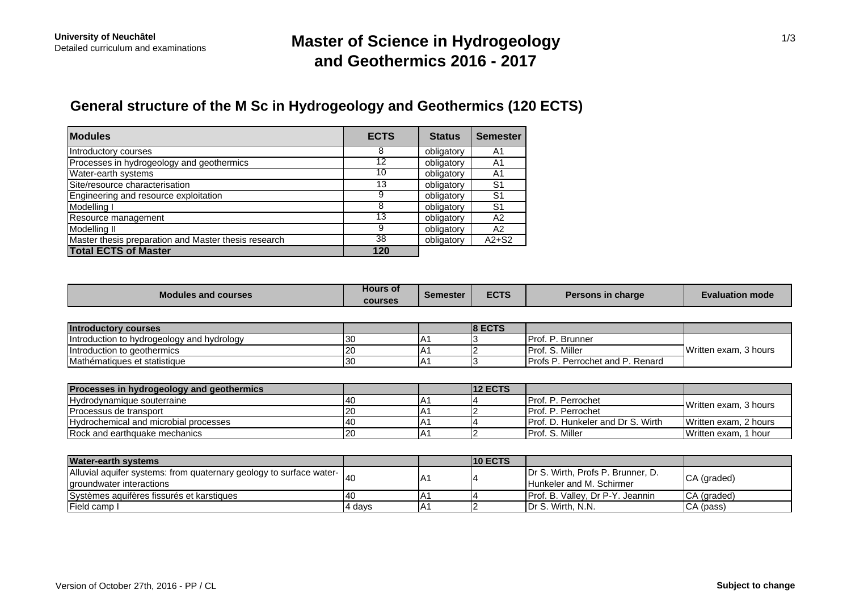# **Master of Science in Hydrogeology and Geothermics 2016 - 2017**

### **General structure of the M Sc in Hydrogeology and Geothermics (120 ECTS)**

| <b>Modules</b>                                       | <b>ECTS</b> | <b>Status</b> | <b>Semester</b> |
|------------------------------------------------------|-------------|---------------|-----------------|
| Introductory courses                                 | 8           | obligatory    | A1              |
| Processes in hydrogeology and geothermics            | 12          | obligatory    | A1              |
| Water-earth systems                                  | 10          | obligatory    | A1              |
| Site/resource characterisation                       | 13          | obligatory    | S1              |
| Engineering and resource exploitation                | 9           | obligatory    | S1              |
| Modelling I                                          | 8           | obligatory    | S1              |
| Resource management                                  | 13          | obligatory    | A2              |
| Modelling II                                         | 9           | obligatory    | A2              |
| Master thesis preparation and Master thesis research | 38          | obligatory    | $A2+S2$         |
| <b>Total ECTS of Master</b>                          | 120         |               |                 |

| <b>Modules and courses</b>                                          | <b>Hours of</b><br><b>courses</b> | <b>Semester</b> | <b>ECTS</b>    | Persons in charge                        | <b>Evaluation mode</b> |  |
|---------------------------------------------------------------------|-----------------------------------|-----------------|----------------|------------------------------------------|------------------------|--|
|                                                                     |                                   |                 |                |                                          |                        |  |
| <b>Introductory courses</b>                                         |                                   |                 | <b>8 ECTS</b>  |                                          |                        |  |
| Introduction to hydrogeology and hydrology                          | 30                                | IA1             |                | Prof. P. Brunner                         | Written exam, 3 hours  |  |
| Introduction to geothermics                                         | 20                                | A1              |                | Prof. S. Miller                          |                        |  |
| Mathématiques et statistique                                        | 30                                | IA1             | 3              | <b>IProfs P. Perrochet and P. Renard</b> |                        |  |
|                                                                     |                                   |                 |                |                                          |                        |  |
| Processes in hydrogeology and geothermics                           |                                   |                 | <b>12 ECTS</b> |                                          |                        |  |
| Hydrodynamique souterraine                                          | 40                                | A1              |                | Prof. P. Perrochet                       | Written exam, 3 hours  |  |
| Processus de transport                                              | 20                                | A <sub>1</sub>  |                | <b>Prof. P. Perrochet</b>                |                        |  |
| Hydrochemical and microbial processes                               | 40                                | A1              |                | Prof. D. Hunkeler and Dr S. Wirth        | Written exam, 2 hours  |  |
| Rock and earthquake mechanics                                       | 20                                | IA1             | ົ              | Prof. S. Miller                          | Written exam, 1 hour   |  |
|                                                                     |                                   |                 |                |                                          |                        |  |
| <b>Water-earth systems</b>                                          |                                   |                 | <b>10 ECTS</b> |                                          |                        |  |
| Alluvial aquifer systems: from quaternary geology to surface water- | 40                                |                 |                | Dr S. Wirth, Profs P. Brunner, D.        |                        |  |
| groundwater interactions                                            |                                   | A1              |                | Hunkeler and M. Schirmer                 | CA (graded)            |  |
| Systèmes aquifères fissurés et karstiques                           | 40                                | IA1             |                | Prof. B. Valley, Dr P-Y. Jeannin         | CA (graded)            |  |
| Field camp I                                                        | 4 days                            | IA1             |                | Dr S. Wirth, N.N.                        | CA (pass)              |  |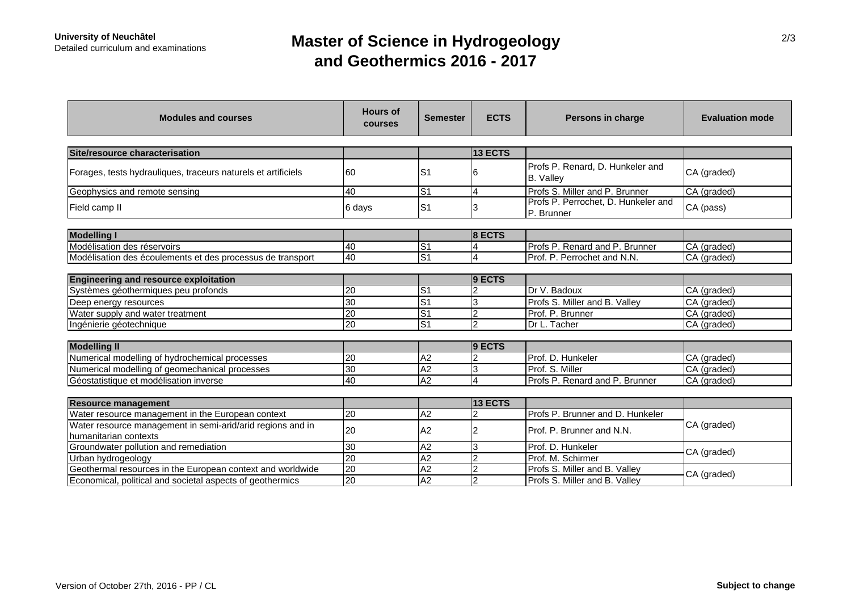# **Master of Science in Hydrogeology and Geothermics 2016 - 2017**

| <b>Modules and courses</b>                                                          | <b>Hours of</b><br>courses | <b>Semester</b> | <b>ECTS</b>    | Persons in charge                                 | <b>Evaluation mode</b> |  |
|-------------------------------------------------------------------------------------|----------------------------|-----------------|----------------|---------------------------------------------------|------------------------|--|
|                                                                                     |                            |                 |                |                                                   |                        |  |
| Site/resource characterisation                                                      |                            |                 | <b>13 ECTS</b> |                                                   |                        |  |
| Forages, tests hydrauliques, traceurs naturels et artificiels                       | 60                         | S <sub>1</sub>  |                | Profs P. Renard, D. Hunkeler and<br>B. Valley     | CA (graded)            |  |
| Geophysics and remote sensing                                                       | 40                         | $\overline{S1}$ | $\overline{4}$ | Profs S. Miller and P. Brunner                    | CA (graded)            |  |
| Field camp II                                                                       | 6 days                     | S <sub>1</sub>  | 3              | Profs P. Perrochet, D. Hunkeler and<br>P. Brunner | CA (pass)              |  |
|                                                                                     |                            |                 |                |                                                   |                        |  |
| <b>Modelling I</b>                                                                  |                            |                 | 8 ECTS         |                                                   |                        |  |
| Modélisation des réservoirs                                                         | 40                         | S <sub>1</sub>  | $\overline{4}$ | Profs P. Renard and P. Brunner                    | CA (graded)            |  |
| Modélisation des écoulements et des processus de transport                          | 40                         | $\overline{S1}$ | $\overline{4}$ | Prof. P. Perrochet and N.N.                       | CA (graded)            |  |
|                                                                                     |                            |                 |                |                                                   |                        |  |
| <b>Engineering and resource exploitation</b>                                        |                            |                 | 9 ECTS         |                                                   |                        |  |
| Systèmes géothermiques peu profonds                                                 | $\overline{20}$            | S <sub>1</sub>  | $\overline{2}$ | Dr V. Badoux                                      | CA (graded)            |  |
| Deep energy resources                                                               | $\overline{30}$            | S <sub>1</sub>  | 3              | Profs S. Miller and B. Valley                     | CA (graded)            |  |
| Water supply and water treatment                                                    | $\overline{20}$            | S <sub>1</sub>  | $\overline{c}$ | Prof. P. Brunner                                  | CA (graded)            |  |
| Ingénierie géotechnique                                                             | $\overline{20}$            | S <sub>1</sub>  | $\overline{c}$ | Dr L. Tacher                                      | CA (graded)            |  |
|                                                                                     |                            |                 |                |                                                   |                        |  |
| <b>Modelling II</b>                                                                 |                            |                 | 9 ECTS         |                                                   |                        |  |
| Numerical modelling of hydrochemical processes                                      | 20                         | A2              | $\overline{2}$ | Prof. D. Hunkeler                                 | CA (graded)            |  |
| Numerical modelling of geomechanical processes                                      | $\overline{30}$            | $\overline{A2}$ | 3              | Prof. S. Miller                                   | CA (graded)            |  |
| Géostatistique et modélisation inverse                                              | 40                         | A2              | $\overline{4}$ | Profs P. Renard and P. Brunner                    | CA (graded)            |  |
|                                                                                     |                            |                 |                |                                                   |                        |  |
| <b>Resource management</b>                                                          |                            |                 | <b>13 ECTS</b> |                                                   |                        |  |
| Water resource management in the European context                                   | $\overline{20}$            | $\overline{A2}$ | $\overline{2}$ | Profs P. Brunner and D. Hunkeler                  |                        |  |
| Water resource management in semi-arid/arid regions and in<br>humanitarian contexts | 20                         | A2              | $\overline{2}$ | <b>IProf. P. Brunner and N.N.</b>                 | CA (graded)            |  |
| Groundwater pollution and remediation                                               | $\overline{30}$            | A2              | င              | Prof. D. Hunkeler                                 | CA (graded)            |  |
| Urban hydrogeology                                                                  | $\overline{20}$            | A2              | $\overline{c}$ | Prof. M. Schirmer                                 |                        |  |
| Geothermal resources in the European context and worldwide                          | $\overline{20}$            | A2              | $\overline{2}$ | Profs S. Miller and B. Valley                     | CA (graded)            |  |
| Economical, political and societal aspects of geothermics                           | $\overline{20}$            | A2              | $\overline{2}$ | Profs S. Miller and B. Valley                     |                        |  |